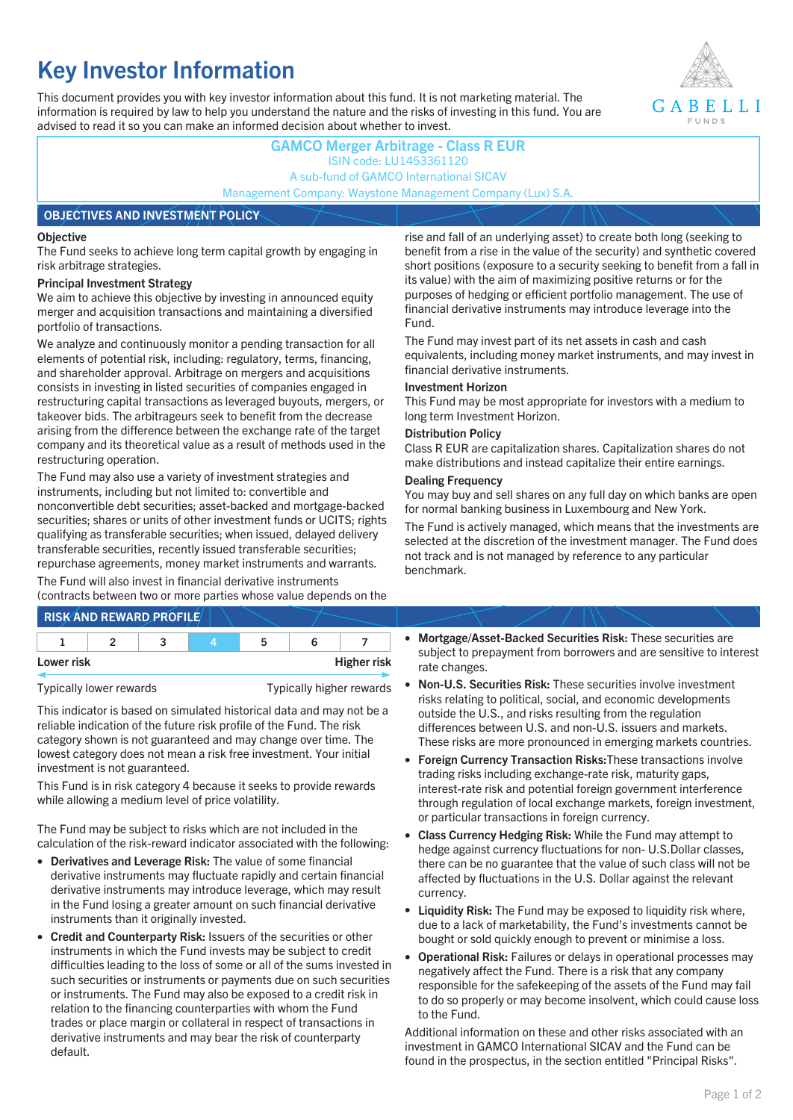# **Key Investor Information**

This document provides you with key investor information about this fund. It is not marketing material. The information is required by law to help you understand the nature and the risks of investing in this fund. You are advised to read it so you can make an informed decision about whether to invest.



## **GAMCO Merger Arbitrage - Class R EUR** ISIN code: LU1453361120 A sub-fund of GAMCO International SICAV Management Company: Waystone Management Company (Lux) S.A.

### **OBJECTIVES AND INVESTMENT POLICY**

### **Objective**

The Fund seeks to achieve long term capital growth by engaging in risk arbitrage strategies.

### **Principal Investment Strategy**

We aim to achieve this objective by investing in announced equity merger and acquisition transactions and maintaining a diversified portfolio of transactions.

We analyze and continuously monitor a pending transaction for all elements of potential risk, including: regulatory, terms, financing, and shareholder approval. Arbitrage on mergers and acquisitions consists in investing in listed securities of companies engaged in restructuring capital transactions as leveraged buyouts, mergers, or takeover bids. The arbitrageurs seek to benefit from the decrease arising from the difference between the exchange rate of the target company and its theoretical value as a result of methods used in the restructuring operation.

The Fund may also use a variety of investment strategies and instruments, including but not limited to: convertible and nonconvertible debt securities; asset-backed and mortgage-backed securities; shares or units of other investment funds or UCITS; rights qualifying as transferable securities; when issued, delayed delivery transferable securities, recently issued transferable securities; repurchase agreements, money market instruments and warrants.

The Fund will also invest in financial derivative instruments (contracts between two or more parties whose value depends on the

|            | <b>RISK AND REWARD PROFILE</b> |    |                    |
|------------|--------------------------------|----|--------------------|
|            |                                | 'n |                    |
| Lower risk |                                |    | <b>Higher risk</b> |

Typically lower rewards Typically higher rewards

This indicator is based on simulated historical data and may not be a reliable indication of the future risk profile of the Fund. The risk category shown is not guaranteed and may change over time. The lowest category does not mean a risk free investment. Your initial investment is not guaranteed.

This Fund is in risk category 4 because it seeks to provide rewards while allowing a medium level of price volatility.

The Fund may be subject to risks which are not included in the calculation of the risk-reward indicator associated with the following:

- **Derivatives and Leverage Risk:** The value of some financial derivative instruments may fluctuate rapidly and certain financial derivative instruments may introduce leverage, which may result in the Fund losing a greater amount on such financial derivative instruments than it originally invested.
- **Credit and Counterparty Risk:** Issuers of the securities or other instruments in which the Fund invests may be subject to credit difficulties leading to the loss of some or all of the sums invested in such securities or instruments or payments due on such securities or instruments. The Fund may also be exposed to a credit risk in relation to the financing counterparties with whom the Fund trades or place margin or collateral in respect of transactions in derivative instruments and may bear the risk of counterparty default.

rise and fall of an underlying asset) to create both long (seeking to benefit from a rise in the value of the security) and synthetic covered short positions (exposure to a security seeking to benefit from a fall in its value) with the aim of maximizing positive returns or for the purposes of hedging or efficient portfolio management. The use of financial derivative instruments may introduce leverage into the Fund.

The Fund may invest part of its net assets in cash and cash equivalents, including money market instruments, and may invest in financial derivative instruments.

### **Investment Horizon**

This Fund may be most appropriate for investors with a medium to long term Investment Horizon.

### **Distribution Policy**

Class R EUR are capitalization shares. Capitalization shares do not make distributions and instead capitalize their entire earnings.

### **Dealing Frequency**

You may buy and sell shares on any full day on which banks are open for normal banking business in Luxembourg and New York.

The Fund is actively managed, which means that the investments are selected at the discretion of the investment manager. The Fund does not track and is not managed by reference to any particular benchmark.

- **Mortgage/Asset-Backed Securities Risk:** These securities are subject to prepayment from borrowers and are sensitive to interest rate changes.
- **Non-U.S. Securities Risk:** These securities involve investment risks relating to political, social, and economic developments outside the U.S., and risks resulting from the regulation differences between U.S. and non-U.S. issuers and markets. These risks are more pronounced in emerging markets countries.
- **Foreign Currency Transaction Risks:**These transactions involve trading risks including exchange-rate risk, maturity gaps, interest-rate risk and potential foreign government interference through regulation of local exchange markets, foreign investment, or particular transactions in foreign currency.
- **Class Currency Hedging Risk:** While the Fund may attempt to hedge against currency fluctuations for non- U.S.Dollar classes, there can be no guarantee that the value of such class will not be affected by fluctuations in the U.S. Dollar against the relevant currency.
- **Liquidity Risk:** The Fund may be exposed to liquidity risk where, due to a lack of marketability, the Fund's investments cannot be bought or sold quickly enough to prevent or minimise a loss.
- **Operational Risk:** Failures or delays in operational processes may negatively affect the Fund. There is a risk that any company responsible for the safekeeping of the assets of the Fund may fail to do so properly or may become insolvent, which could cause loss to the Fund.

Additional information on these and other risks associated with an investment in GAMCO International SICAV and the Fund can be found in the prospectus, in the section entitled "Principal Risks".